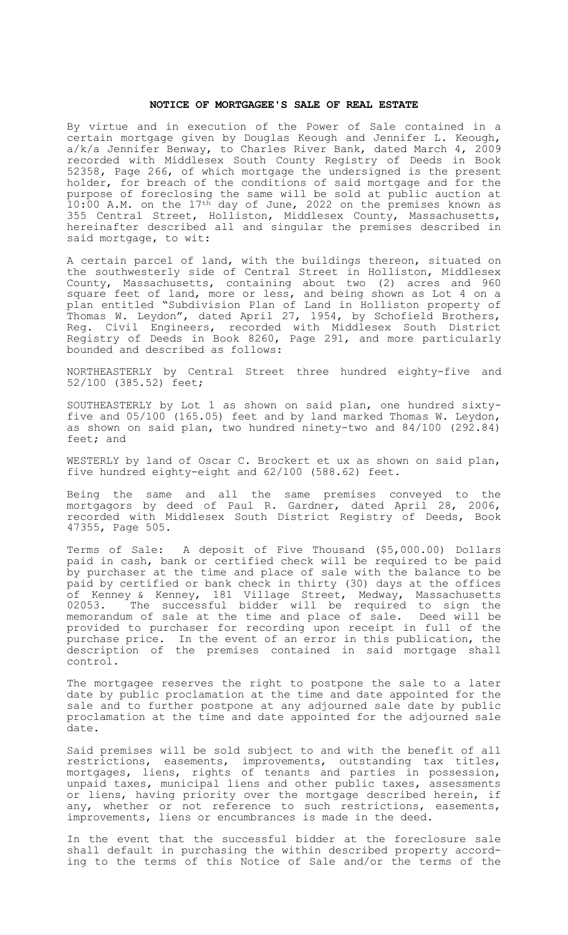## **NOTICE OF MORTGAGEE'S SALE OF REAL ESTATE**

By virtue and in execution of the Power of Sale contained in a certain mortgage given by Douglas Keough and Jennifer L. Keough, a/k/a Jennifer Benway, to Charles River Bank, dated March 4, 2009 recorded with Middlesex South County Registry of Deeds in Book 52358, Page 266, of which mortgage the undersigned is the present holder, for breach of the conditions of said mortgage and for the purpose of foreclosing the same will be sold at public auction at 10:00 A.M. on the 17<sup>th</sup> day of June, 2022 on the premises known as 355 Central Street, Holliston, Middlesex County, Massachusetts, hereinafter described all and singular the premises described in said mortgage, to wit:

A certain parcel of land, with the buildings thereon, situated on the southwesterly side of Central Street in Holliston, Middlesex County, Massachusetts, containing about two (2) acres and 960 square feet of land, more or less, and being shown as Lot 4 on a plan entitled "Subdivision Plan of Land in Holliston property of Thomas W. Leydon", dated April 27, 1954, by Schofield Brothers, Reg. Civil Engineers, recorded with Middlesex South District Registry of Deeds in Book 8260, Page 291, and more particularly bounded and described as follows:

NORTHEASTERLY by Central Street three hundred eighty-five and 52/100 (385.52) feet;

SOUTHEASTERLY by Lot 1 as shown on said plan, one hundred sixtyfive and 05/100 (165.05) feet and by land marked Thomas W. Leydon, as shown on said plan, two hundred ninety-two and 84/100 (292.84) feet; and

WESTERLY by land of Oscar C. Brockert et ux as shown on said plan, five hundred eighty-eight and 62/100 (588.62) feet.

Being the same and all the same premises conveyed to the mortgagors by deed of Paul R. Gardner, dated April 28, 2006, recorded with Middlesex South District Registry of Deeds, Book 47355, Page 505.

Terms of Sale: A deposit of Five Thousand (\$5,000.00) Dollars paid in cash, bank or certified check will be required to be paid by purchaser at the time and place of sale with the balance to be paid by certified or bank check in thirty (30) days at the offices of Kenney & Kenney, 181 Village Street, Medway, Massachusetts 02053. The successful bidder will be required to sign the memorandum of sale at the time and place of sale. Deed will be provided to purchaser for recording upon receipt in full of the purchase price. In the event of an error in this publication, the description of the premises contained in said mortgage shall control.

The mortgagee reserves the right to postpone the sale to a later date by public proclamation at the time and date appointed for the sale and to further postpone at any adjourned sale date by public proclamation at the time and date appointed for the adjourned sale date.

Said premises will be sold subject to and with the benefit of all restrictions, easements, improvements, outstanding tax titles, mortgages, liens, rights of tenants and parties in possession, unpaid taxes, municipal liens and other public taxes, assessments or liens, having priority over the mortgage described herein, if any, whether or not reference to such restrictions, easements, improvements, liens or encumbrances is made in the deed.

In the event that the successful bidder at the foreclosure sale shall default in purchasing the within described property according to the terms of this Notice of Sale and/or the terms of the